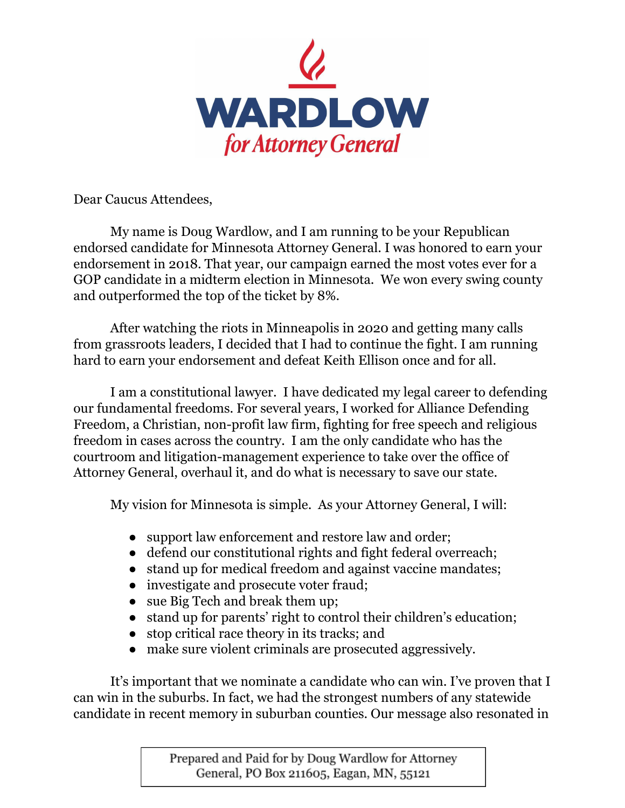

Dear Caucus Attendees,

My name is Doug Wardlow, and I am running to be your Republican endorsed candidate for Minnesota Attorney General. I was honored to earn your endorsement in 2018. That year, our campaign earned the most votes ever for a GOP candidate in a midterm election in Minnesota. We won every swing county and outperformed the top of the ticket by 8%.

After watching the riots in Minneapolis in 2020 and getting many calls from grassroots leaders, I decided that I had to continue the fight. I am running hard to earn your endorsement and defeat Keith Ellison once and for all.

I am a constitutional lawyer. I have dedicated my legal career to defending our fundamental freedoms. For several years, I worked for Alliance Defending Freedom, a Christian, non-profit law firm, fighting for free speech and religious freedom in cases across the country. I am the only candidate who has the courtroom and litigation-management experience to take over the office of Attorney General, overhaul it, and do what is necessary to save our state.

My vision for Minnesota is simple. As your Attorney General, I will:

- support law enforcement and restore law and order;
- defend our constitutional rights and fight federal overreach;
- stand up for medical freedom and against vaccine mandates;
- investigate and prosecute voter fraud;
- sue Big Tech and break them up;
- stand up for parents' right to control their children's education;
- stop critical race theory in its tracks; and
- make sure violent criminals are prosecuted aggressively.

It's important that we nominate a candidate who can win. I've proven that I can win in the suburbs. In fact, we had the strongest numbers of any statewide candidate in recent memory in suburban counties. Our message also resonated in

> Prepared and Paid for by Doug Wardlow for Attorney General, PO Box 211605, Eagan, MN, 55121